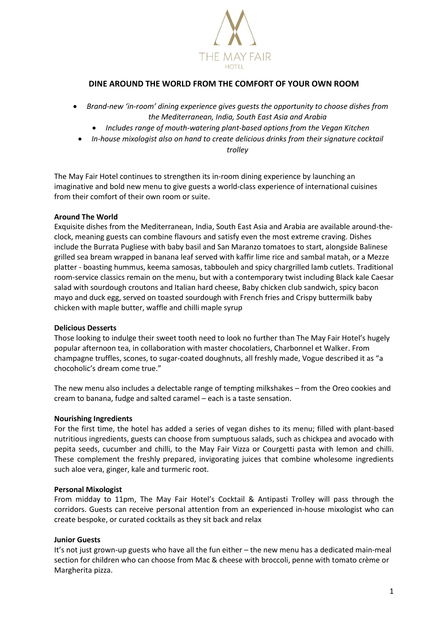

# **DINE AROUND THE WORLD FROM THE COMFORT OF YOUR OWN ROOM**

- *Brand-new 'in-room' dining experience gives guests the opportunity to choose dishes from the Mediterranean, India, South East Asia and Arabia*
	- *Includes range of mouth-watering plant-based options from the Vegan Kitchen*
	- *In-house mixologist also on hand to create delicious drinks from their signature cocktail*

*trolley*

The May Fair Hotel continues to strengthen its in-room dining experience by launching an imaginative and bold new menu to give guests a world-class experience of international cuisines from their comfort of their own room or suite.

# **Around The World**

Exquisite dishes from the Mediterranean, India, South East Asia and Arabia are available around-theclock, meaning guests can combine flavours and satisfy even the most extreme craving. Dishes include the Burrata Pugliese with baby basil and San Maranzo tomatoes to start, alongside Balinese grilled sea bream wrapped in banana leaf served with kaffir lime rice and sambal matah, or a Mezze platter - boasting hummus, keema samosas, tabbouleh and spicy chargrilled lamb cutlets. Traditional room-service classics remain on the menu, but with a contemporary twist including Black kale Caesar salad with sourdough croutons and Italian hard cheese, Baby chicken club sandwich, spicy bacon mayo and duck egg, served on toasted sourdough with French fries and Crispy buttermilk baby chicken with maple butter, waffle and chilli maple syrup

# **Delicious Desserts**

Those looking to indulge their sweet tooth need to look no further than The May Fair Hotel's hugely popular afternoon tea, in collaboration with master chocolatiers, Charbonnel et Walker. From champagne truffles, scones, to sugar-coated doughnuts, all freshly made, Vogue described it as "a chocoholic's dream come true."

The new menu also includes a delectable range of tempting milkshakes – from the Oreo cookies and cream to banana, fudge and salted caramel – each is a taste sensation.

# **Nourishing Ingredients**

For the first time, the hotel has added a series of vegan dishes to its menu; filled with plant-based nutritious ingredients, guests can choose from sumptuous salads, such as chickpea and avocado with pepita seeds, cucumber and chilli, to the May Fair Vizza or Courgetti pasta with lemon and chilli. These complement the freshly prepared, invigorating juices that combine wholesome ingredients such aloe vera, ginger, kale and turmeric root.

# **Personal Mixologist**

From midday to 11pm, The May Fair Hotel's Cocktail & Antipasti Trolley will pass through the corridors. Guests can receive personal attention from an experienced in-house mixologist who can create bespoke, or curated cocktails as they sit back and relax

# **Junior Guests**

It's not just grown-up guests who have all the fun either – the new menu has a dedicated main-meal section for children who can choose from Mac & cheese with broccoli, penne with tomato crème or Margherita pizza.